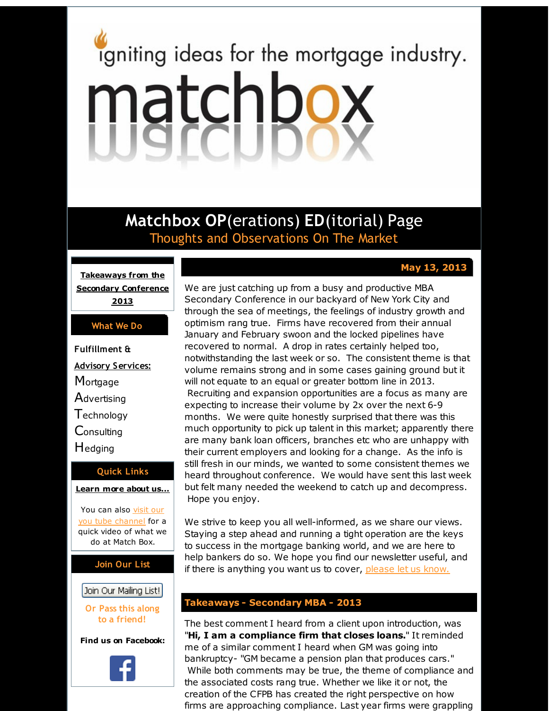# <span id="page-0-0"></span>igniting ideas for the mortgage industry. matchbox

**Matchbox OP**(erations) **ED**(itorial) Page Thoughts and Observations On The Market

 $May 13, 2013$ 

**[Takeaways](#page-0-0) from the Secondary Conference 2013**

#### **What We Do**

**Fulfillment & Advisory Services: Mortgage Advertising T**echnology **Consulting** Hedging

# **Quick Links**

**[Learn](http://r20.rs6.net/tn.jsp?f=001mdWAwNlcpDueNKANFnAn5w4QVz1jidYNL8ZPGimV1LGZVQih5kUmJUS7uU31uTrTmejOkL4d2vmoV9-Xin6M1bW7ym9-i5hWxVsR4sAYwSVZ5OHY6QJj1Ql4X_53M_aiP_9aU8N63ufr28d52KcQYFjxNUrJmntvy5_75tUR8ZGAtRl1zGsdVQ==&c=&ch=) more about u[s...](http://r20.rs6.net/tn.jsp?f=001mdWAwNlcpDueNKANFnAn5w4QVz1jidYNL8ZPGimV1LGZVQih5kUmJUS7uU31uTrTmejOkL4d2vmoV9-Xin6M1bW7ym9-i5hWxVsR4sAYwSVZ5OHY6QJj1Ql4X_53M_aiP_9aU8N63ufr28d52KcQYFjxNUrJmntvy5_75tUR8ZGAtRl1zGsdVQ==&c=&ch=)**

You can also visit our you tube [channel](http://r20.rs6.net/tn.jsp?f=001mdWAwNlcpDueNKANFnAn5w4QVz1jidYNL8ZPGimV1LGZVQih5kUmJSezMq3qGByVFbMEghSiCF0mPfXxUXFoDLDpANNcyum9dIHEdbhzQof9sQq67BKy2yznQhoKchu7F8sznm_FlX3QPHL33IiOhteb8X4PUxKdMnX7usGr9ukYWXGhZihURyoIVlA-e3eBm5F34tN_uCc=&c=&ch=) for a quick video of what we do at Match Box.

## **Join Our List**

## Join Our Mailing List!

**Or Pass this along to a friend!**

**Find us on Facebook:**



We are just catching up from a busy and productive MBA Secondary Conference in our backyard of New York City and through the sea of meetings, the feelings of industry growth and optimism rang true. Firms have recovered from their annual January and February swoon and the locked pipelines have recovered to normal. A drop in rates certainly helped too, notwithstanding the last week or so. The consistent theme is that volume remains strong and in some cases gaining ground but it will not equate to an equal or greater bottom line in 2013. Recruiting and expansion opportunities are a focus as many are expecting to increase their volume by 2x over the next 6-9 months. We were quite honestly surprised that there was this much opportunity to pick up talent in this market; apparently there are many bank loan officers, branches etc who are unhappy with their current employers and looking for a change. As the info is still fresh in our minds, we wanted to some consistent themes we heard throughout conference. We would have sent this last week but felt many needed the weekend to catch up and decompress. Hope you enjoy.

We strive to keep you all well-informed, as we share our views. Staying a step ahead and running a tight operation are the keys to success in the mortgage banking world, and we are here to help bankers do so. We hope you find our newsletter useful, and if there is anything you want us to cover, [please](http://r20.rs6.net/tn.jsp?f=001mdWAwNlcpDueNKANFnAn5w4QVz1jidYNL8ZPGimV1LGZVQih5kUmJfH5iPiOThoO-1KaaEZrYmPtLrNCjhjGgkRpn_kt_ZXkNJmliH7Az3jmVAjy2d00XWzBGY9ez7IZ1CPIsYJ5IzDzRZcGLpT4LK9ZhuNxBMaf5h37FPx6sIqFWTcx5Q-oIan0WZFMYiox&c=&ch=) let us know.

## **Takeaways - Secondary MBA - 2013**

The best comment I heard from a client upon introduction, was "**Hi, I am a compliance firm that closes loans.**" It reminded me of a similar comment I heard when GM was going into bankruptcy- "GM became a pension plan that produces cars." While both comments may be true, the theme of compliance and the associated costs rang true. Whether we like it or not, the creation of the CFPB has created the right perspective on how firms are approaching compliance. Last year firms were grappling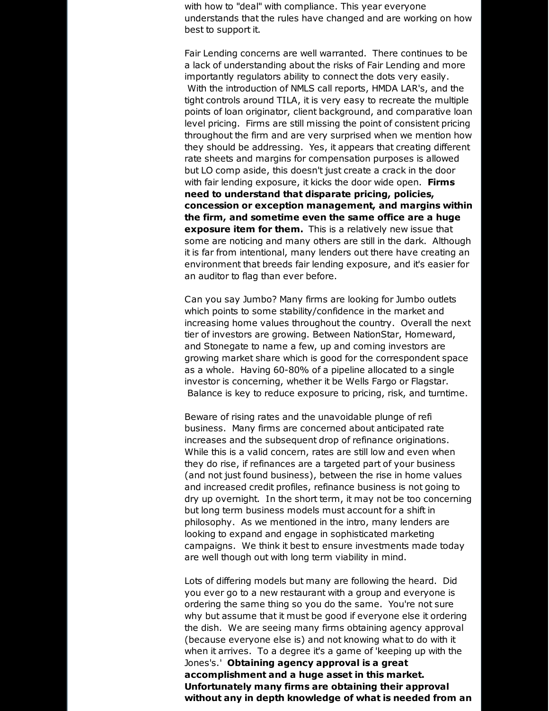with how to "deal" with compliance. This year everyone understands that the rules have changed and are working on how best to support it.

Fair Lending concerns are well warranted. There continues to be a lack of understanding about the risks of Fair Lending and more importantly regulators ability to connect the dots very easily. With the introduction of NMLS call reports, HMDA LAR's, and the tight controls around TILA, it is very easy to recreate the multiple points of loan originator, client background, and comparative loan level pricing. Firms are still missing the point of consistent pricing throughout the firm and are very surprised when we mention how they should be addressing. Yes, it appears that creating different rate sheets and margins for compensation purposes is allowed but LO comp aside, this doesn't just create a crack in the door with fair lending exposure, it kicks the door wide open. **Firms need to understand that disparate pricing, policies, concession or exception management, and margins within the firm, and sometime even the same office are a huge exposure item for them.** This is a relatively new issue that some are noticing and many others are still in the dark. Although it is far from intentional, many lenders out there have creating an environment that breeds fair lending exposure, and it's easier for an auditor to flag than ever before.

Can you say Jumbo? Many firms are looking for Jumbo outlets which points to some stability/confidence in the market and increasing home values throughout the country. Overall the next tier of investors are growing. Between NationStar, Homeward, and Stonegate to name a few, up and coming investors are growing market share which is good for the correspondent space as a whole. Having 60-80% of a pipeline allocated to a single investor is concerning, whether it be Wells Fargo or Flagstar. Balance is key to reduce exposure to pricing, risk, and turntime.

Beware of rising rates and the unavoidable plunge of refi business. Many firms are concerned about anticipated rate increases and the subsequent drop of refinance originations. While this is a valid concern, rates are still low and even when they do rise, if refinances are a targeted part of your business (and not just found business), between the rise in home values and increased credit profiles, refinance business is not going to dry up overnight. In the short term, it may not be too concerning but long term business models must account for a shift in philosophy. As we mentioned in the intro, many lenders are looking to expand and engage in sophisticated marketing campaigns. We think it best to ensure investments made today are well though out with long term viability in mind.

Lots of differing models but many are following the heard. Did you ever go to a new restaurant with a group and everyone is ordering the same thing so you do the same. You're not sure why but assume that it must be good if everyone else it ordering the dish. We are seeing many firms obtaining agency approval (because everyone else is) and not knowing what to do with it when it arrives. To a degree it's a game of 'keeping up with the Jones's.' **Obtaining agency approval is a great accomplishment and a huge asset in this market. Unfortunately many firms are obtaining their approval without any in depth knowledge of what is needed from an**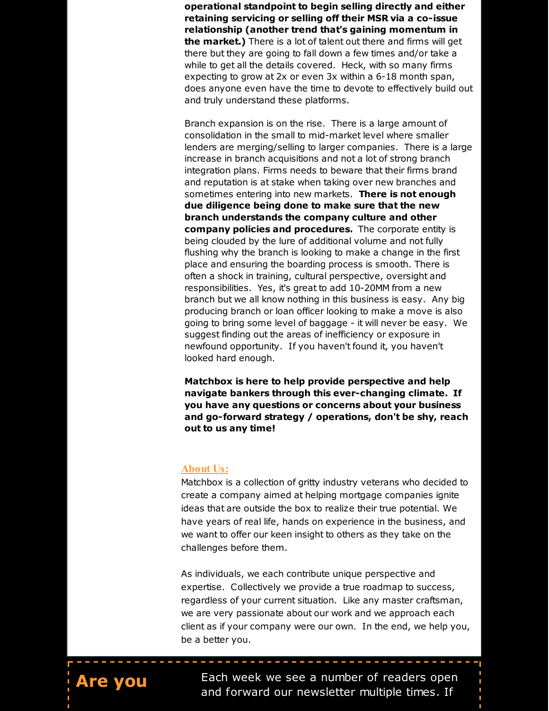**operational standpoint to begin selling directly and either retaining servicing or selling off their MSR via a co-issue relationship (another trend that's gaining momentum in the market.)** There is a lot of talent out there and firms will get there but they are going to fall down a few times and/or take a while to get all the details covered. Heck, with so many firms expecting to grow at 2x or even 3x within a 6-18 month span, does anyone even have the time to devote to effectively build out and truly understand these platforms.

Branch expansion is on the rise. There is a large amount of consolidation in the small to mid-market level where smaller lenders are merging/selling to larger companies. There is a large increase in branch acquisitions and not a lot of strong branch integration plans. Firms needs to beware that their firms brand and reputation is at stake when taking over new branches and sometimes entering into new markets. **There is not enough due diligence being done to make sure that the new branch understands the company culture and other company policies and procedures.** The corporate entity is being clouded by the lure of additional volume and not fully flushing why the branch is looking to make a change in the first place and ensuring the boarding process is smooth. There is often a shock in training, cultural perspective, oversight and responsibilities. Yes, it's great to add 10-20MM from a new branch but we all know nothing in this business is easy. Any big producing branch or loan officer looking to make a move is also going to bring some level of baggage - it will never be easy. We suggest finding out the areas of inefficiency or exposure in newfound opportunity. If you haven't found it, you haven't looked hard enough.

**Matchbox is here to help provide perspective and help navigate bankers through this ever-changing climate. If you have any questions or concerns about your business and go-forward strategy / operations, don't be shy, reach out to us any time!**

#### **About Us:**

Matchbox is a collection of gritty industry veterans who decided to create a company aimed at helping mortgage companies ignite ideas that are outside the box to realize their true potential. We have years of real life, hands on experience in the business, and we want to offer our keen insight to others as they take on the challenges before them.

As individuals, we each contribute unique perspective and expertise. Collectively we provide a true roadmap to success, regardless of your current situation. Like any master craftsman, we are very passionate about our work and we approach each client as if your company were our own. In the end, we help you, be a better you.

-------------------



**Are you** Each week we see a number of readers open and forward our newsletter multiple times. If